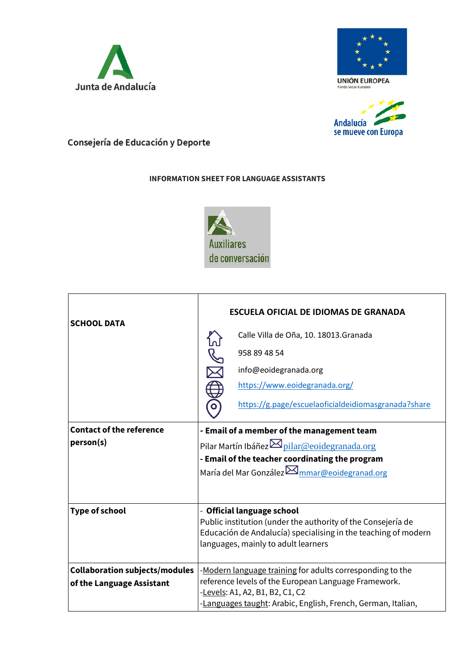





## Consejería de Educación y Deporte

## **INFORMATION SHEET FOR LANGUAGE ASSISTANTS**



| <b>SCHOOL DATA</b>                                                 | <b>ESCUELA OFICIAL DE IDIOMAS DE GRANADA</b><br>Calle Villa de Oña, 10. 18013. Granada<br>958 89 48 54<br>info@eoidegranada.org<br>https://www.eoidegranada.org/<br>https://g.page/escuelaoficialdeidiomasgranada?share |
|--------------------------------------------------------------------|-------------------------------------------------------------------------------------------------------------------------------------------------------------------------------------------------------------------------|
| <b>Contact of the reference</b><br>person(s)                       | - Email of a member of the management team<br>Pilar Martín Ibáñez <sup>M</sup> pilar@eoidegranada.org<br>- Email of the teacher coordinating the program<br>María del Mar González $\boxtimes$ mmar@eoidegranad.org     |
| <b>Type of school</b>                                              | - Official language school<br>Public institution (under the authority of the Consejería de<br>Educación de Andalucía) specialising in the teaching of modern<br>languages, mainly to adult learners                     |
| <b>Collaboration subjects/modules</b><br>of the Language Assistant | -Modern language training for adults corresponding to the<br>reference levels of the European Language Framework.<br>-Levels: A1, A2, B1, B2, C1, C2<br>-Languages taught: Arabic, English, French, German, Italian,    |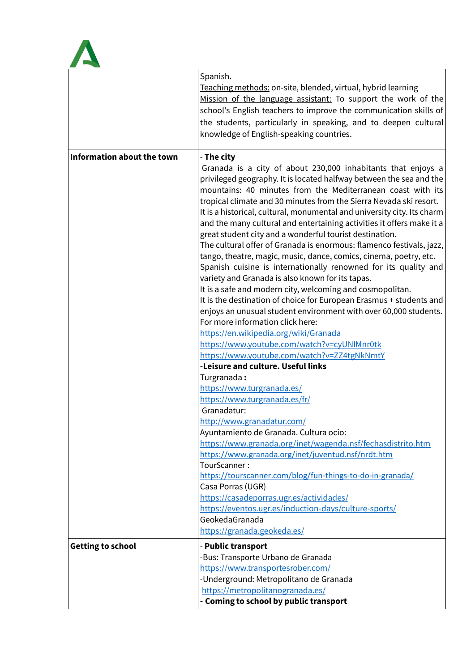

|                                   | Spanish.<br>Teaching methods: on-site, blended, virtual, hybrid learning<br>Mission of the language assistant: To support the work of the<br>school's English teachers to improve the communication skills of<br>the students, particularly in speaking, and to deepen cultural<br>knowledge of English-speaking countries.                                                                                                                                                                                                                                                                                                                                                                                                                                                                                                                                                                                                                                                                                                                                                                                   |
|-----------------------------------|---------------------------------------------------------------------------------------------------------------------------------------------------------------------------------------------------------------------------------------------------------------------------------------------------------------------------------------------------------------------------------------------------------------------------------------------------------------------------------------------------------------------------------------------------------------------------------------------------------------------------------------------------------------------------------------------------------------------------------------------------------------------------------------------------------------------------------------------------------------------------------------------------------------------------------------------------------------------------------------------------------------------------------------------------------------------------------------------------------------|
| <b>Information about the town</b> | - The city<br>Granada is a city of about 230,000 inhabitants that enjoys a<br>privileged geography. It is located halfway between the sea and the<br>mountains: 40 minutes from the Mediterranean coast with its<br>tropical climate and 30 minutes from the Sierra Nevada ski resort.<br>It is a historical, cultural, monumental and university city. Its charm<br>and the many cultural and entertaining activities it offers make it a<br>great student city and a wonderful tourist destination.<br>The cultural offer of Granada is enormous: flamenco festivals, jazz,<br>tango, theatre, magic, music, dance, comics, cinema, poetry, etc.<br>Spanish cuisine is internationally renowned for its quality and<br>variety and Granada is also known for its tapas.<br>It is a safe and modern city, welcoming and cosmopolitan.<br>It is the destination of choice for European Erasmus + students and<br>enjoys an unusual student environment with over 60,000 students.<br>For more information click here:<br>https://en.wikipedia.org/wiki/Granada<br>https://www.youtube.com/watch?v=cyUNIMnr0tk |
|                                   | https://www.youtube.com/watch?v=ZZ4tgNkNmtY<br>-Leisure and culture. Useful links<br>Turgranada:<br>https://www.turgranada.es/<br>https://www.turgranada.es/fr/<br>Granadatur:<br>http://www.granadatur.com/<br>Ayuntamiento de Granada. Cultura ocio:<br>https://www.granada.org/inet/wagenda.nsf/fechasdistrito.htm<br>https://www.granada.org/inet/juventud.nsf/nrdt.htm<br>TourScanner:<br>https://tourscanner.com/blog/fun-things-to-do-in-granada/                                                                                                                                                                                                                                                                                                                                                                                                                                                                                                                                                                                                                                                      |
| <b>Getting to school</b>          | Casa Porras (UGR)<br>https://casadeporras.ugr.es/actividades/<br>https://eventos.ugr.es/induction-days/culture-sports/<br>GeokedaGranada<br>https://granada.geokeda.es/<br>- Public transport<br>-Bus: Transporte Urbano de Granada<br>https://www.transportesrober.com/<br>-Underground: Metropolitano de Granada<br>https://metropolitanogranada.es/<br>- Coming to school by public transport                                                                                                                                                                                                                                                                                                                                                                                                                                                                                                                                                                                                                                                                                                              |